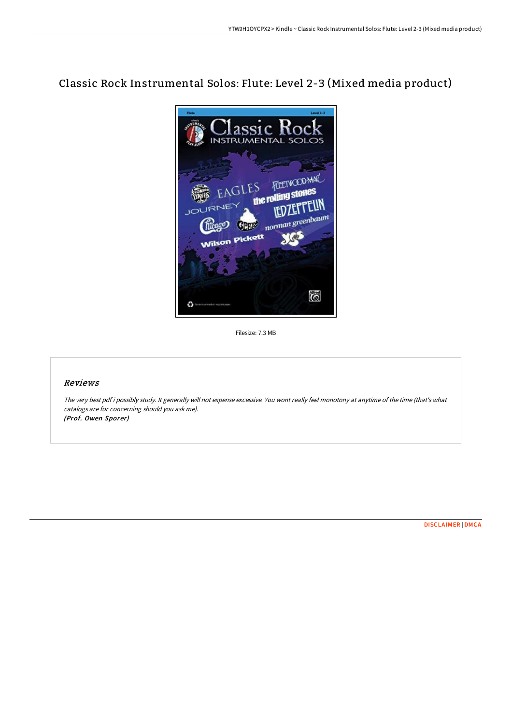# Classic Rock Instrumental Solos: Flute: Level 2-3 (Mixed media product)



Filesize: 7.3 MB

## Reviews

The very best pdf i possibly study. It generally will not expense excessive. You wont really feel monotony at anytime of the time (that's what catalogs are for concerning should you ask me). (Prof. Owen Sporer)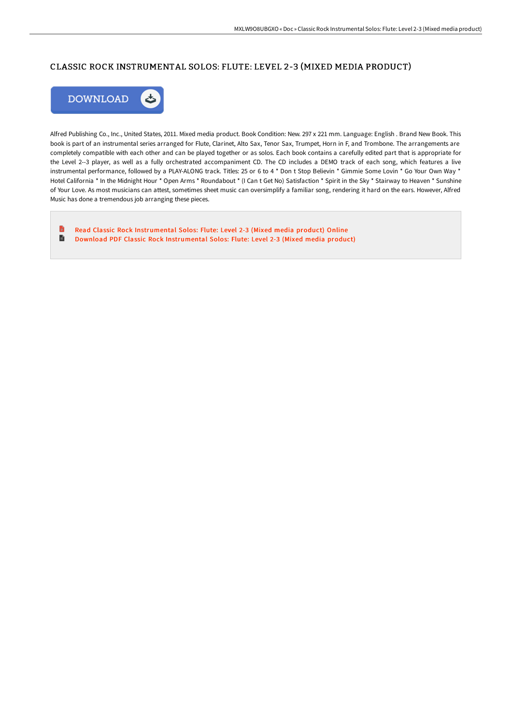## CLASSIC ROCK INSTRUMENTAL SOLOS: FLUTE: LEVEL 2-3 (MIXED MEDIA PRODUCT)



Alfred Publishing Co., Inc., United States, 2011. Mixed media product. Book Condition: New. 297 x 221 mm. Language: English . Brand New Book. This book is part of an instrumental series arranged for Flute, Clarinet, Alto Sax, Tenor Sax, Trumpet, Horn in F, and Trombone. The arrangements are completely compatible with each other and can be played together or as solos. Each book contains a carefully edited part that is appropriate for the Level 2--3 player, as well as a fully orchestrated accompaniment CD. The CD includes a DEMO track of each song, which features a live instrumental performance, followed by a PLAY-ALONG track. Titles: 25 or 6 to 4 \* Don t Stop Believin \* Gimmie Some Lovin \* Go Your Own Way \* Hotel California \* In the Midnight Hour \* Open Arms \* Roundabout \* (I Can t Get No) Satisfaction \* Spirit in the Sky \* Stairway to Heaven \* Sunshine of Your Love. As most musicians can attest, sometimes sheet music can oversimplify a familiar song, rendering it hard on the ears. However, Alfred Music has done a tremendous job arranging these pieces.

Read Classic Rock [Instrumental](http://techno-pub.tech/classic-rock-instrumental-solos-flute-level-2-3-.html) Solos: Flute: Level 2-3 (Mixed media product) Online  $\blacksquare$ Download PDF Classic Rock [Instrumental](http://techno-pub.tech/classic-rock-instrumental-solos-flute-level-2-3-.html) Solos: Flute: Level 2-3 (Mixed media product)